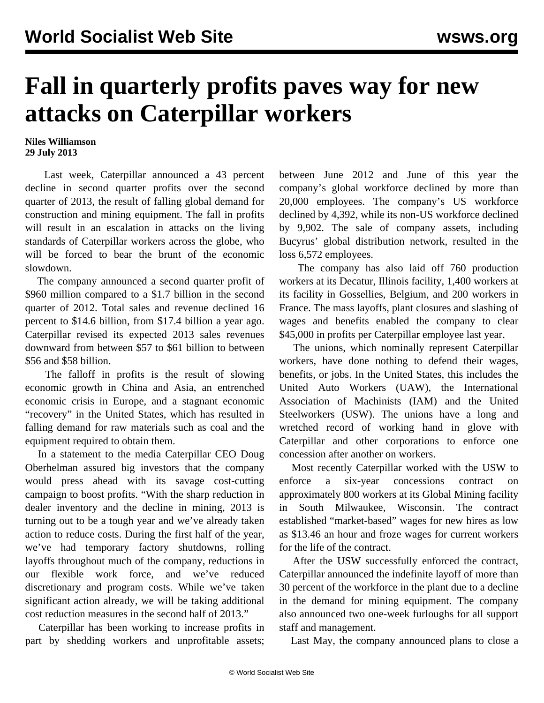## **Fall in quarterly profits paves way for new attacks on Caterpillar workers**

## **Niles Williamson 29 July 2013**

 Last week, Caterpillar announced a 43 percent decline in second quarter profits over the second quarter of 2013, the result of falling global demand for construction and mining equipment. The fall in profits will result in an escalation in attacks on the living standards of Caterpillar workers across the globe, who will be forced to bear the brunt of the economic slowdown.

 The company announced a second quarter profit of \$960 million compared to a \$1.7 billion in the second quarter of 2012. Total sales and revenue declined 16 percent to \$14.6 billion, from \$17.4 billion a year ago. Caterpillar revised its expected 2013 sales revenues downward from between \$57 to \$61 billion to between \$56 and \$58 billion.

 The falloff in profits is the result of slowing economic growth in China and Asia, an entrenched economic crisis in Europe, and a stagnant economic "recovery" in the United States, which has resulted in falling demand for raw materials such as coal and the equipment required to obtain them.

 In a statement to the media Caterpillar CEO Doug Oberhelman assured big investors that the company would press ahead with its savage cost-cutting campaign to boost profits. "With the sharp reduction in dealer inventory and the decline in mining, 2013 is turning out to be a tough year and we've already taken action to reduce costs. During the first half of the year, we've had temporary factory shutdowns, rolling layoffs throughout much of the company, reductions in our flexible work force, and we've reduced discretionary and program costs. While we've taken significant action already, we will be taking additional cost reduction measures in the second half of 2013."

 Caterpillar has been working to increase profits in part by shedding workers and unprofitable assets; between June 2012 and June of this year the company's global workforce declined by more than 20,000 employees. The company's US workforce declined by 4,392, while its non-US workforce declined by 9,902. The sale of company assets, including Bucyrus' global distribution network, resulted in the loss 6,572 employees.

 The company has also laid off 760 production workers at its Decatur, Illinois facility, 1,400 workers at its facility in Gossellies, Belgium, and 200 workers in France. The mass layoffs, plant closures and slashing of wages and benefits enabled the company to clear \$45,000 in profits per Caterpillar employee last year.

 The unions, which nominally represent Caterpillar workers, have done nothing to defend their wages, benefits, or jobs. In the United States, this includes the United Auto Workers (UAW), the International Association of Machinists (IAM) and the United Steelworkers (USW). The unions have a long and wretched record of working hand in glove with Caterpillar and other corporations to enforce one concession after another on workers.

 Most recently Caterpillar worked with the USW to enforce a six-year concessions contract on approximately 800 workers at its Global Mining facility in South Milwaukee, Wisconsin. The contract established "market-based" wages for new hires as low as \$13.46 an hour and froze wages for current workers for the life of the contract.

 After the USW successfully enforced the contract, Caterpillar announced the indefinite layoff of more than 30 percent of the workforce in the plant due to a decline in the demand for mining equipment. The company also announced two one-week furloughs for all support staff and management.

Last May, the company announced plans to close a